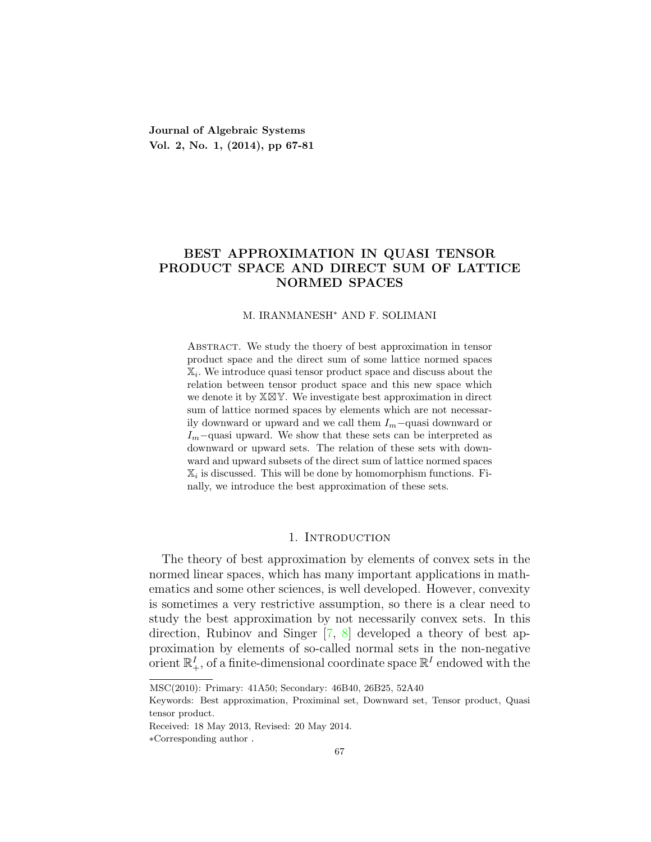**Journal of Algebraic Systems Vol. 2, No. 1, (2014), pp 67-81**

# **BEST APPROXIMATION IN QUASI TENSOR PRODUCT SPACE AND DIRECT SUM OF LATTICE NORMED SPACES**

### M. IRANMANESH*<sup>∗</sup>* AND F. SOLIMANI

Abstract. We study the thoery of best approximation in tensor product space and the direct sum of some lattice normed spaces X*<sup>i</sup> .* We introduce quasi tensor product space and discuss about the relation between tensor product space and this new space which we denote it by X⊠Y. We investigate best approximation in direct sum of lattice normed spaces by elements which are not necessarily downward or upward and we call them *Im−*quasi downward or *I*<sup>*m*</sup>−quasi upward. We show that these sets can be interpreted as downward or upward sets. The relation of these sets with downward and upward subsets of the direct sum of lattice normed spaces  $\mathbb{X}_i$  is discussed. This will be done by homomorphism functions. Finally, we introduce the best approximation of these sets.

## 1. INTRODUCTION

The theory of best approximation by elements of convex sets in the normed linear spaces, which has many important applications in mathematics and some other sciences, is well developed. However, convexity is sometimes a very restrictive assumption, so there is a clear need to study the best approximation by not necessarily convex sets. In this direction, Rubinov and Singer [\[7](#page-14-0), [8\]](#page-14-1) developed a theory of best approximation by elements of so-called normal sets in the non-negative orient  $\mathbb{R}^I_+$ , of a finite-dimensional coordinate space  $\mathbb{R}^I$  endowed with the

MSC(2010): Primary: 41A50; Secondary: 46B40, 26B25, 52A40

Keywords: Best approximation, Proximinal set, Downward set, Tensor product, Quasi tensor product.

Received: 18 May 2013, Revised: 20 May 2014.

*<sup>∗</sup>*Corresponding author .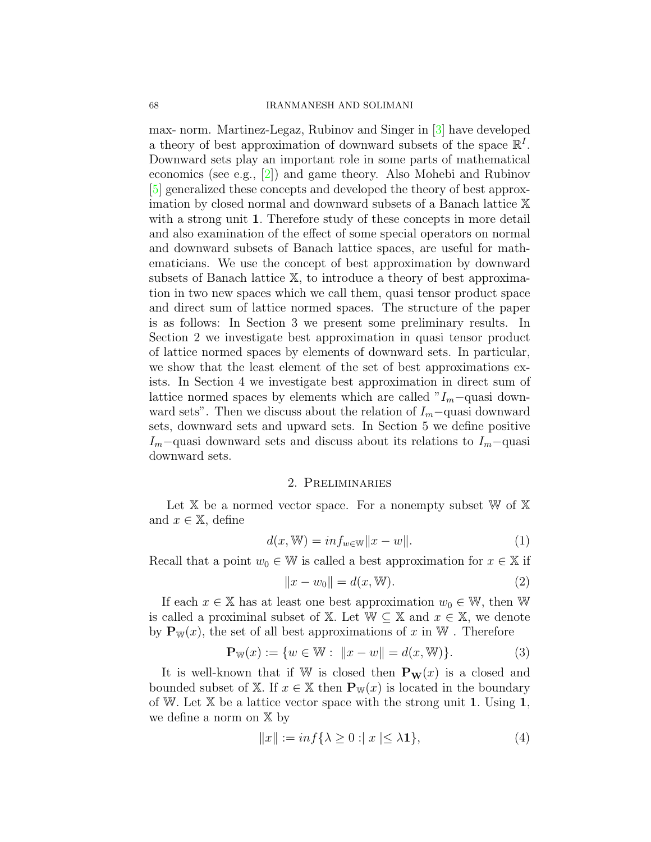max- norm. Martinez-Legaz, Rubinov and Singer in [[3\]](#page-14-2) have developed a theory of best approximation of downward subsets of the space  $\mathbb{R}^I$ . Downward sets play an important role in some parts of mathematical economics (see e.g., [[2\]](#page-14-3)) and game theory. Also Mohebi and Rubinov [\[5](#page-14-4)] generalized these concepts and developed the theory of best approximation by closed normal and downward subsets of a Banach lattice X with a strong unit **1***.* Therefore study of these concepts in more detail and also examination of the effect of some special operators on normal and downward subsets of Banach lattice spaces, are useful for mathematicians. We use the concept of best approximation by downward subsets of Banach lattice X, to introduce a theory of best approximation in two new spaces which we call them, quasi tensor product space and direct sum of lattice normed spaces. The structure of the paper is as follows: In Section 3 we present some preliminary results. In Section 2 we investigate best approximation in quasi tensor product of lattice normed spaces by elements of downward sets. In particular, we show that the least element of the set of best approximations exists. In Section 4 we investigate best approximation in direct sum of lattice normed spaces by elements which are called "*Im−*quasi downward sets". Then we discuss about the relation of *Im−*quasi downward sets, downward sets and upward sets. In Section 5 we define positive *Im−*quasi downward sets and discuss about its relations to *Im−*quasi downward sets.

### 2. Preliminaries

Let  $X$  be a normed vector space. For a nonempty subset  $W$  of  $X$ and  $x \in \mathbb{X}$ , define

$$
d(x, \mathbb{W}) = in f_{w \in \mathbb{W}} ||x - w||. \tag{1}
$$

Recall that a point  $w_0 \in \mathbb{W}$  is called a best approximation for  $x \in \mathbb{X}$  if

$$
||x - w_0|| = d(x, W).
$$
 (2)

If each  $x \in \mathbb{X}$  has at least one best approximation  $w_0 \in \mathbb{W}$ , then W is called a proximinal subset of X. Let  $W \subseteq X$  and  $x \in X$ , we denote by  $P_{W}(x)$ , the set of all best approximations of x in W. Therefore

<span id="page-1-0"></span>
$$
\mathbf{P}_{\mathbb{W}}(x) := \{ w \in \mathbb{W} : ||x - w|| = d(x, \mathbb{W}) \}. \tag{3}
$$

It is well-known that if W is closed then  $\mathbf{P}_\mathbf{W}(x)$  is a closed and bounded subset of X. If  $x \in X$  then  $P_{\mathbb{W}}(x)$  is located in the boundary of W*.* Let X be a lattice vector space with the strong unit **1***.* Using **1***,* we define a norm on X by

$$
||x|| := \inf \{ \lambda \ge 0 : |x| \le \lambda \mathbf{1} \},\tag{4}
$$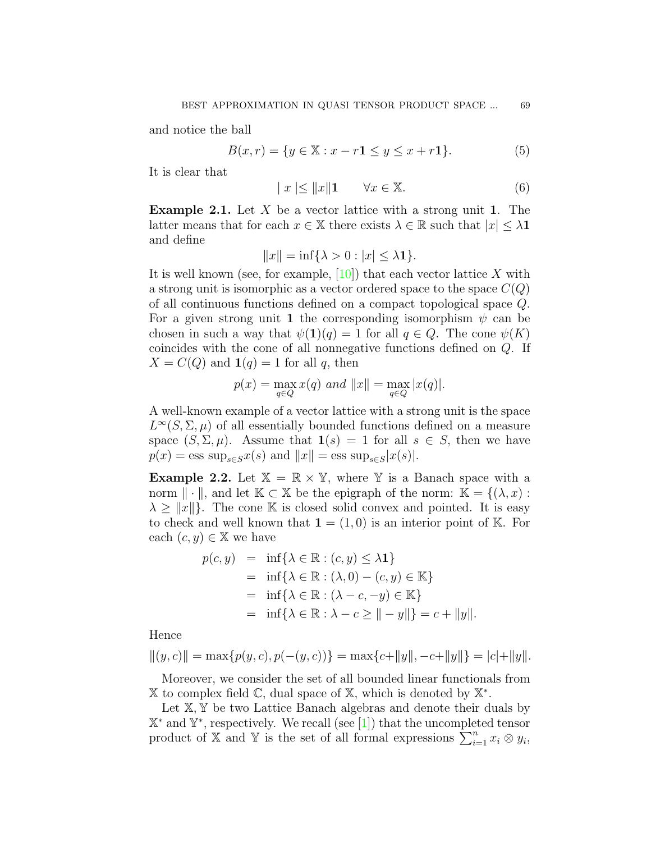and notice the ball

<span id="page-2-1"></span>
$$
B(x,r) = \{ y \in \mathbb{X} : x - r1 \le y \le x + r1 \}. \tag{5}
$$

It is clear that

<span id="page-2-0"></span>
$$
|x| \le ||x|| \mathbf{1} \qquad \forall x \in \mathbb{X}.\tag{6}
$$

**Example 2.1.** Let *X* be a vector lattice with a strong unit **1**. The latter means that for each  $x \in \mathbb{X}$  there exists  $\lambda \in \mathbb{R}$  such that  $|x| \leq \lambda \mathbf{1}$ and define

$$
||x|| = \inf\{\lambda > 0 : |x| \le \lambda \mathbf{1}\}.
$$

It is well known (see, for example,  $[10]$  $[10]$ ) that each vector lattice X with a strong unit is isomorphic as a vector ordered space to the space  $C(Q)$ of all continuous functions defined on a compact topological space *Q*. For a given strong unit **1** the corresponding isomorphism  $\psi$  can be chosen in such a way that  $\psi(\mathbf{1})(q) = 1$  for all  $q \in Q$ . The cone  $\psi(K)$ coincides with the cone of all nonnegative functions defined on *Q*. If  $X = C(Q)$  and  $\mathbf{1}(q) = 1$  for all *q*, then

$$
p(x) = \max_{q \in Q} x(q)
$$
 and  $||x|| = \max_{q \in Q} |x(q)|$ .

A well-known example of a vector lattice with a strong unit is the space  $L^{\infty}(S, \Sigma, \mu)$  of all essentially bounded functions defined on a measure space  $(S, \Sigma, \mu)$ . Assume that  $\mathbf{1}(s) = 1$  for all  $s \in S$ , then we have  $p(x) = \text{ess sup}_{s \in S} x(s)$  and  $||x|| = \text{ess sup}_{s \in S} |x(s)|$ .

**Example 2.2.** Let  $X = \mathbb{R} \times Y$ , where Y is a Banach space with a norm  $\|\cdot\|$ , and let  $\mathbb{K} \subset \mathbb{X}$  be the epigraph of the norm:  $\mathbb{K} = \{(\lambda, x) :$  $\lambda \geq ||x||$ . The cone K is closed solid convex and pointed. It is easy to check and well known that  $\mathbf{1} = (1,0)$  is an interior point of K. For each  $(c, y) \in \mathbb{X}$  we have

$$
p(c, y) = \inf \{ \lambda \in \mathbb{R} : (c, y) \le \lambda \mathbf{1} \}
$$
  
=  $\inf \{ \lambda \in \mathbb{R} : (\lambda, 0) - (c, y) \in \mathbb{K} \}$   
=  $\inf \{ \lambda \in \mathbb{R} : (\lambda - c, -y) \in \mathbb{K} \}$   
=  $\inf \{ \lambda \in \mathbb{R} : \lambda - c \ge || - y || \} = c + ||y||.$ 

Hence

$$
||(y, c)|| = \max\{p(y, c), p(-(y, c))\} = \max\{c + ||y||, -c + ||y||\} = |c| + ||y||.
$$

Moreover, we consider the set of all bounded linear functionals from X to complex field C, dual space of X*,* which is denoted by X *∗ .*

Let  $X, Y$  be two Lattice Banach algebras and denote their duals by X *<sup>∗</sup>* and Y *∗* , respectively. We recall (see [[1\]](#page-14-6)) that the uncompleted tensor product of X and Y is the set of all formal expressions  $\sum_{i=1}^{n} x_i \otimes y_i$ ,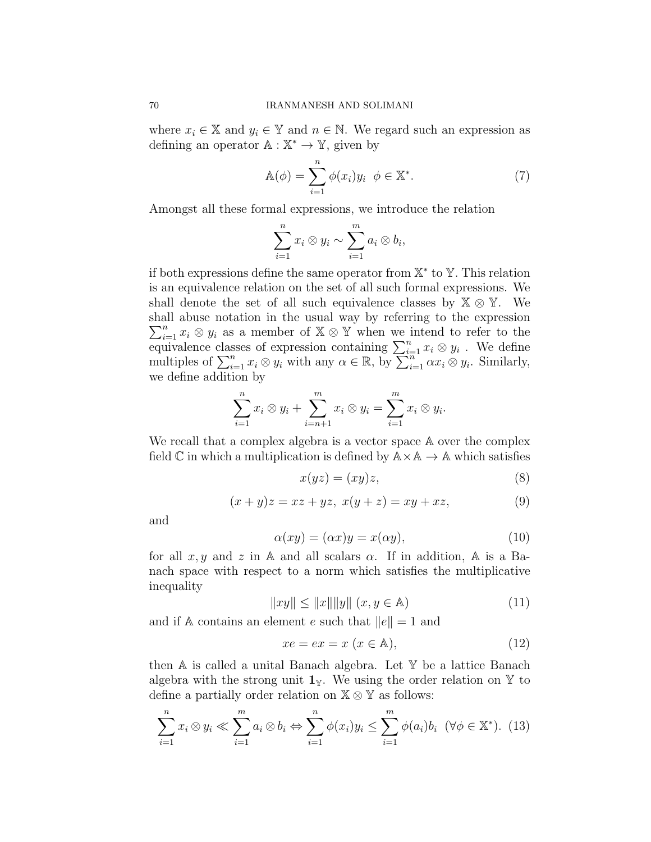where  $x_i \in \mathbb{X}$  and  $y_i \in \mathbb{Y}$  and  $n \in \mathbb{N}$ . We regard such an expression as defining an operator A : X *<sup>∗</sup> →* Y, given by

<span id="page-3-0"></span>
$$
\mathbb{A}(\phi) = \sum_{i=1}^{n} \phi(x_i) y_i \quad \phi \in \mathbb{X}^*.
$$
 (7)

Amongst all these formal expressions, we introduce the relation

$$
\sum_{i=1}^n x_i \otimes y_i \sim \sum_{i=1}^m a_i \otimes b_i,
$$

if both expressions define the same operator from X *∗* to Y*.* This relation is an equivalence relation on the set of all such formal expressions. We shall denote the set of all such equivalence classes by  $X \otimes Y$ . We shall abuse notation in the usual way by referring to the expression  $\sum_{i=1}^{n} x_i \otimes y_i$  as a member of  $X \otimes Y$  when we intend to refer to the equivalence classes of expression containing  $\sum_{i=1}^{n} x_i \otimes y_i$ . We define multiples of  $\sum_{i=1}^n x_i \otimes y_i$  with any  $\alpha \in \mathbb{R}$ , by  $\sum_{i=1}^n \alpha x_i \otimes y_i$ . Similarly, we define addition by

$$
\sum_{i=1}^n x_i \otimes y_i + \sum_{i=n+1}^m x_i \otimes y_i = \sum_{i=1}^m x_i \otimes y_i.
$$

We recall that a complex algebra is a vector space  $A$  over the complex field  $\mathbb C$  in which a multiplication is defined by  $\mathbb A \times \mathbb A \to \mathbb A$  which satisfies

$$
x(yz) = (xy)z,\t\t(8)
$$

$$
(x + y)z = xz + yz, \ x(y + z) = xy + xz,
$$
 (9)

and

$$
\alpha(xy) = (\alpha x)y = x(\alpha y),\tag{10}
$$

for all  $x, y$  and  $z$  in A and all scalars  $\alpha$ . If in addition, A is a Banach space with respect to a norm which satisfies the multiplicative inequality

$$
||xy|| \le ||x|| ||y|| \ (x, y \in A)
$$
\n(11)

and if A contains an element *e* such that *∥e∥* = 1 and

$$
xe = ex = x (x \in A), \tag{12}
$$

then A is called a unital Banach algebra. Let Y be a lattice Banach algebra with the strong unit  $\mathbf{1}_Y$ . We using the order relation on Y to define a partially order relation on X *⊗* Y as follows:

$$
\sum_{i=1}^{n} x_i \otimes y_i \ll \sum_{i=1}^{m} a_i \otimes b_i \Leftrightarrow \sum_{i=1}^{n} \phi(x_i) y_i \le \sum_{i=1}^{m} \phi(a_i) b_i \quad (\forall \phi \in \mathbb{X}^*). \tag{13}
$$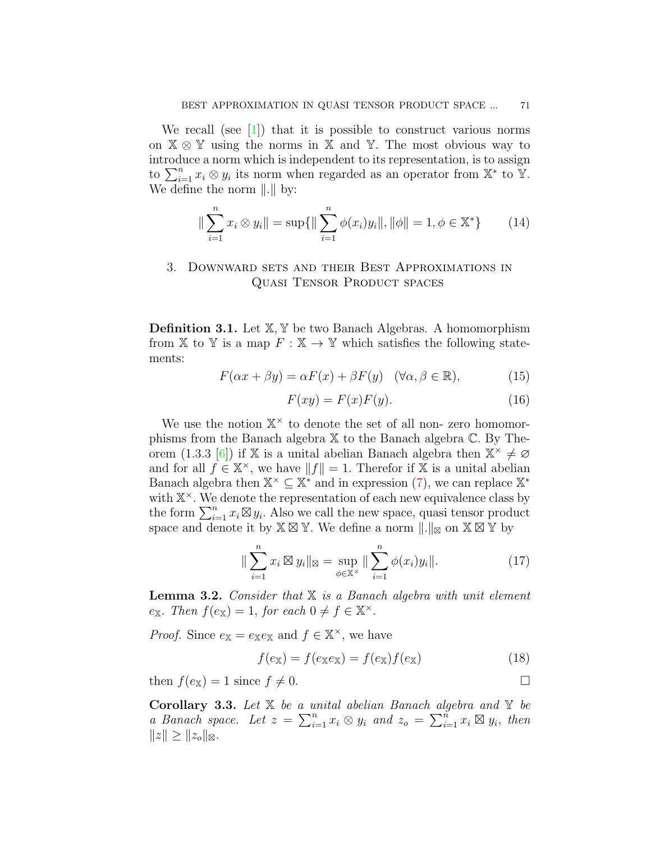We recall (see  $\lceil 1 \rceil$ ) that it is possible to construct various norms on X *⊗* Y using the norms in X and Y*.* The most obvious way to introduce a norm which is independent to its representation, is to assign to  $\sum_{i=1}^{n} x_i \otimes y_i$  its norm when regarded as an operator from  $\mathbb{X}^*$  to  $\mathbb{Y}$ . We define the norm *∥.∥* by:

$$
\|\sum_{i=1}^{n} x_i \otimes y_i\| = \sup\{\|\sum_{i=1}^{n} \phi(x_i)y_i\|, \|\phi\| = 1, \phi \in \mathbb{X}^*\}\qquad(14)
$$

## 3. Downward sets and their Best Approximations in Quasi Tensor Product spaces

**Definition 3.1.** Let  $X, Y$  be two Banach Algebras. A homomorphism from X to Y is a map  $F : X \to Y$  which satisfies the following statements:

$$
F(\alpha x + \beta y) = \alpha F(x) + \beta F(y) \quad (\forall \alpha, \beta \in \mathbb{R}), \tag{15}
$$

$$
F(xy) = F(x)F(y). \tag{16}
$$

We use the notion  $\mathbb{X}^{\times}$  to denote the set of all non-zero homomorphisms from the Banach algebra X to the Banach algebra C*.* By The-orem (1.3.3 [\[6\]](#page-14-7)) if X is a unital abelian Banach algebra then  $X^* \neq \emptyset$ and for all  $f \in \mathbb{X}^{\times}$ , we have  $||f|| = 1$ . Therefor if X is a unital abelian Banach algebra then  $\mathbb{X}^{\times} \subseteq \mathbb{X}^*$  and in expression ([7\)](#page-3-0), we can replace  $\mathbb{X}^*$ with  $X^{\times}$ . We denote the representation of each new equivalence class by the form  $\sum_{i=1}^{n} x_i \boxtimes y_i$ . Also we call the new space, quasi tensor product space and denote it by X ⊠ Y*.* We define a norm *∥.∥*<sup>⊠</sup> on X ⊠ Y by

<span id="page-4-1"></span>
$$
\|\sum_{i=1}^{n} x_i \boxtimes y_i\|_{\boxtimes} = \sup_{\phi \in \mathbb{X}^{\times}} \|\sum_{i=1}^{n} \phi(x_i) y_i\|.
$$
 (17)

<span id="page-4-0"></span>**Lemma 3.2.** *Consider that* X *is a Banach algebra with unit element*  $e_{\mathbb{X}}$ *. Then*  $f(e_{\mathbb{X}}) = 1$ *, for each*  $0 \neq f \in \mathbb{X}^{\times}$ *.* 

*Proof.* Since  $e_{\mathbb{X}} = e_{\mathbb{X}}e_{\mathbb{X}}$  and  $f \in \mathbb{X}^{\times}$ , we have

$$
f(e_{\mathbb{X}}) = f(e_{\mathbb{X}}e_{\mathbb{X}}) = f(e_{\mathbb{X}})f(e_{\mathbb{X}})
$$
\n(18)

then  $f(e_{\mathbb{X}}) = 1$  since  $f \neq 0$ .

**Corollary 3.3.** *Let* X *be a unital abelian Banach algebra and* Y *be a Banach space. Let*  $z = \sum_{i=1}^{n} x_i \otimes y_i$  and  $z_o = \sum_{i=1}^{n} x_i \otimes y_i$ , then  $||z|| \geq ||z_o||$ ⊠.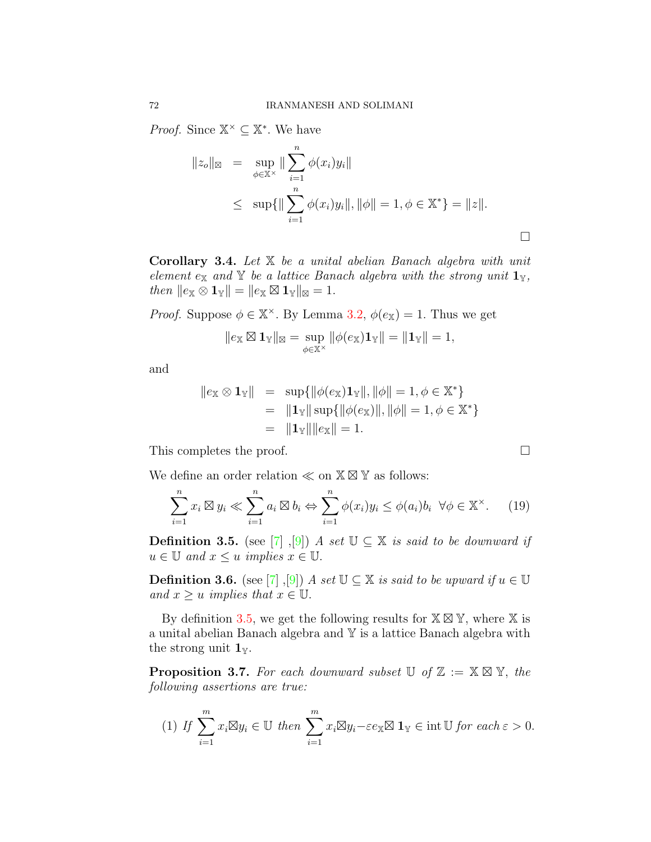*Proof.* Since  $X^{\times} \subseteq X^*$ . We have

$$
||z_o||_{\mathfrak{A}} = \sup_{\phi \in \mathbb{X}^{\times}} || \sum_{i=1}^{n} \phi(x_i) y_i ||
$$
  
 
$$
\leq \sup \{ || \sum_{i=1}^{n} \phi(x_i) y_i ||, ||\phi|| = 1, \phi \in \mathbb{X}^* \} = ||z||.
$$

□

**Corollary 3.4.** *Let* X *be a unital abelian Banach algebra with unit element*  $e_X$  *and*  $Y$  *be a lattice Banach algebra with the strong unit*  $\mathbf{1}_Y$ *,*  $then \|e_{\mathbb{X}} \otimes \mathbf{1}_{\mathbb{Y}}\| = \|e_{\mathbb{X}} \boxtimes \mathbf{1}_{\mathbb{Y}}\|_{\mathbb{X}} = 1.$ 

*Proof.* Suppose  $\phi \in \mathbb{X}^{\times}$ . By Lemma [3.2](#page-4-0),  $\phi(e_{\mathbb{X}}) = 1$ . Thus we get

$$
\|e_{\mathbb{X}}\boxtimes \mathbf{1}_{\mathbb{Y}}\|_{\mathbb{X}}=\sup_{\phi\in\mathbb{X}^{\times}}\|\phi(e_{\mathbb{X}})\mathbf{1}_{\mathbb{Y}}\|=\|\mathbf{1}_{\mathbb{Y}}\|=1,
$$

and

$$
||e_{\mathbb{X}} \otimes \mathbf{1}_{\mathbb{Y}}|| = \sup \{ ||\phi(e_{\mathbb{X}})\mathbf{1}_{\mathbb{Y}}||, ||\phi|| = 1, \phi \in \mathbb{X}^* \}
$$
  
=  $||\mathbf{1}_{\mathbb{Y}}|| \sup \{ ||\phi(e_{\mathbb{X}})||, ||\phi|| = 1, \phi \in \mathbb{X}^* \}$   
=  $||\mathbf{1}_{\mathbb{Y}}|| ||e_{\mathbb{X}}|| = 1.$ 

This completes the proof. □

We define an order relation *≪* on X ⊠ Y as follows:

<span id="page-5-1"></span>
$$
\sum_{i=1}^{n} x_i \boxtimes y_i \ll \sum_{i=1}^{n} a_i \boxtimes b_i \Leftrightarrow \sum_{i=1}^{n} \phi(x_i) y_i \le \phi(a_i) b_i \ \forall \phi \in \mathbb{X}^{\times}.
$$
 (19)

<span id="page-5-0"></span>**Definition 3.5.** (see [\[7](#page-14-0)], [[9](#page-14-8)]) *A set*  $\mathbb{U} \subseteq \mathbb{X}$  *is said to be downward if*  $u \in \mathbb{U}$  *and*  $x \leq u$  *implies*  $x \in \mathbb{U}$ *.* 

**Definition 3.6.** (see [[7](#page-14-0)], [\[9](#page-14-8)]) *A set*  $\mathbb{U} \subseteq \mathbb{X}$  *is said to be upward if*  $u \in \mathbb{U}$ *and*  $x \geq u$  *implies that*  $x \in \mathbb{U}$ .

By definition [3.5](#page-5-0), we get the following results for  $X \boxtimes Y$ , where X is a unital abelian Banach algebra and Y is a lattice Banach algebra with the strong unit  $\mathbf{1}_{\mathbb{Y}}$ .

**Proposition 3.7.** For each downward subset  $\mathbb{U}$  of  $\mathbb{Z} := \mathbb{X} \boxtimes \mathbb{Y}$ , the *following assertions are true:*

(1) If 
$$
\sum_{i=1}^{m} x_i \boxtimes y_i \in \mathbb{U}
$$
 then  $\sum_{i=1}^{m} x_i \boxtimes y_i - \varepsilon e_{\mathbb{X}} \boxtimes \mathbf{1}_{\mathbb{Y}} \in \text{int } \mathbb{U}$  for each  $\varepsilon > 0$ .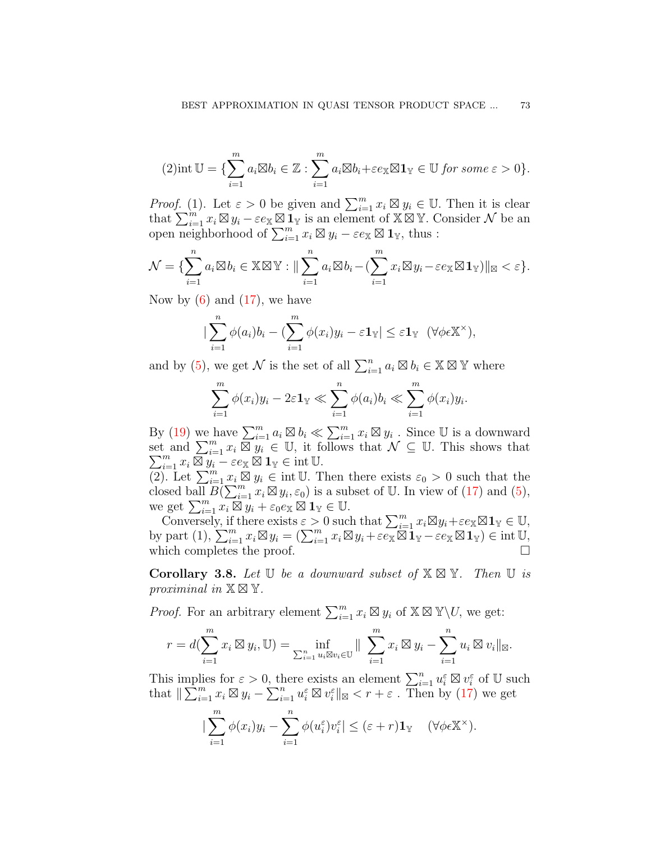$$
(2) \text{int } \mathbb{U} = \{ \sum_{i=1}^{m} a_i \boxtimes b_i \in \mathbb{Z} : \sum_{i=1}^{m} a_i \boxtimes b_i + \varepsilon e_{\mathbb{X}} \boxtimes \mathbf{1}_{\mathbb{Y}} \in \mathbb{U} \text{ for some } \varepsilon > 0 \}.
$$

*Proof.* (1). Let  $\varepsilon > 0$  be given and  $\sum_{i=1}^{m} x_i \boxtimes y_i \in \mathbb{U}$ . Then it is clear that  $\sum_{i=1}^{m} x_i \boxtimes y_i - \varepsilon e_{\mathbb{X}} \boxtimes \mathbf{I}_{\mathbb{Y}}$  is an element of  $\mathbb{X} \boxtimes \mathbb{Y}$ . Consider  $\mathcal{N}$  be an open neighborhood of  $\sum_{i=1}^{m} x_i \boxtimes y_i - \varepsilon e_{\mathbb{X}} \boxtimes \mathbf{1}_{\mathbb{Y}}$ , thus :

$$
\mathcal{N} = \{\sum_{i=1}^n a_i \boxtimes b_i \in \mathbb{X} \boxtimes \mathbb{Y} : \|\sum_{i=1}^n a_i \boxtimes b_i - (\sum_{i=1}^m x_i \boxtimes y_i - \varepsilon e_{\mathbb{X}} \boxtimes \mathbf{1}_{\mathbb{Y}})\|_{\boxtimes} < \varepsilon\}.
$$

Now by  $(6)$  $(6)$  and  $(17)$  $(17)$ , we have

$$
\left|\sum_{i=1}^n \phi(a_i)b_i - \left(\sum_{i=1}^m \phi(x_i)y_i - \varepsilon \mathbf{1}_{\mathbb{Y}}\right)\right| \leq \varepsilon \mathbf{1}_{\mathbb{Y}} \quad (\forall \phi \in \mathbb{X}^\times),
$$

and by ([5\)](#page-2-1), we get  $\mathcal N$  is the set of all  $\sum_{i=1}^n a_i \boxtimes b_i \in \mathbb X \boxtimes \mathbb Y$  where

$$
\sum_{i=1}^m \phi(x_i) y_i - 2\varepsilon \mathbf{1}_{\mathbb{Y}} \ll \sum_{i=1}^n \phi(a_i) b_i \ll \sum_{i=1}^m \phi(x_i) y_i.
$$

By [\(19\)](#page-5-1) we have  $\sum_{i=1}^{m} a_i \boxtimes b_i \ll \sum_{i=1}^{m} x_i \boxtimes y_i$ . Since U is a downward set and  $\sum_{i=1}^m$ <br> $\sum_{i=1}^m x_i \boxtimes y_i$ *x*<sup>*i*</sup>  $\sum_{i=1}^{m} x_i \boxtimes y_i \in \mathbb{U}$ , it follows that  $\mathcal{N} \subseteq \mathbb{U}$ . This shows that  $\sum_{i=1}^{m} x_i \boxtimes y_i - \varepsilon e_{\mathbb{X}} \boxtimes \mathbf{1}_{\mathbb{Y}} \in \text{int } \mathbb{U}$ .

 $(2)$ . Let  $\sum_{i=1}^m x_i \boxtimes y_i \in \text{int } \mathbb{U}$ . Then there exists  $\varepsilon_0 > 0$  such that the closed ball  $B(\sum_{i=1}^m x_i \boxtimes y_i, \varepsilon_0)$  is a subset of U. In view of [\(17](#page-4-1)) and [\(5](#page-2-1)), we get  $\sum_{i=1}^{m} x_i \boxtimes y_i + \varepsilon_0 e_{\mathbb{X}} \boxtimes \mathbf{1}_{\mathbb{Y}} \in \mathbb{U}$ .

Conversely, if there exists  $\varepsilon > 0$  such that  $\sum_{i=1}^{m} x_i \boxtimes y_i + \varepsilon e_{\mathbb{X}} \boxtimes \mathbf{1}_{\mathbb{Y}} \in \mathbb{U}$ , by part  $(1)$ ,  $\sum_{i=1}^{m} x_i \boxtimes y_i = (\sum_{i=1}^{m} x_i \boxtimes y_i + \varepsilon e_{\mathbb{X}} \boxtimes \mathbf{1}_{\mathbb{Y}} - \varepsilon e_{\mathbb{X}} \boxtimes \mathbf{1}_{\mathbb{Y}}) \in \text{int } \mathbb{U}$ , which completes the proof.  $\Box$ 

<span id="page-6-0"></span>**Corollary 3.8.** *Let* U *be a downward subset of* X ⊠ Y*. Then* U *is proximinal in*  $X \boxtimes Y$ .

*Proof.* For an arbitrary element  $\sum_{i=1}^{m} x_i \boxtimes y_i$  of  $\mathbb{X} \boxtimes \mathbb{Y} \backslash U$ , we get:

$$
r = d(\sum_{i=1}^{m} x_i \boxtimes y_i, \mathbb{U}) = \inf_{\sum_{i=1}^{n} u_i \boxtimes v_i \in \mathbb{U}} || \sum_{i=1}^{m} x_i \boxtimes y_i - \sum_{i=1}^{n} u_i \boxtimes v_i ||_{\mathbb{X}}.
$$

This implies for  $\varepsilon > 0$ , there exists an element  $\sum_{i=1}^{n} u_i^{\varepsilon} \boxtimes v_i^{\varepsilon}$  of U such that  $\|\sum_{i=1}^m x_i \boxtimes y_i - \sum_{i=1}^n u_i^{\varepsilon} \boxtimes v_i^{\varepsilon}\|_{\boxtimes} < r + \varepsilon$ . Then by [\(17](#page-4-1)) we get

$$
\left|\sum_{i=1}^m \phi(x_i)y_i - \sum_{i=1}^n \phi(u_i^{\varepsilon})v_i^{\varepsilon}\right| \leq (\varepsilon + r)\mathbf{1}_{\mathbb{Y}} \quad (\forall \phi \in \mathbb{X}^{\times}).
$$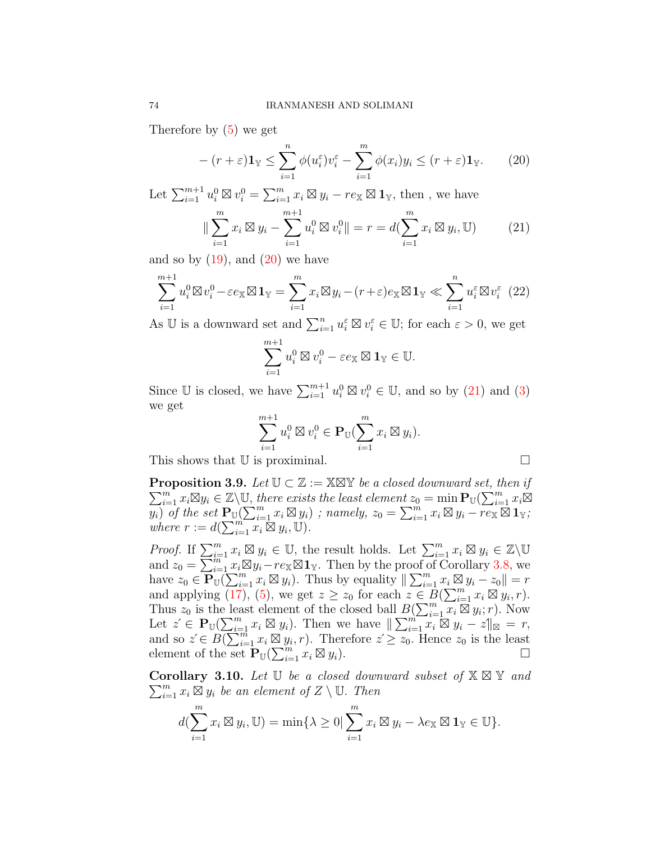Therefore by ([5\)](#page-2-1) we get

<span id="page-7-0"></span>
$$
-(r+\varepsilon)\mathbf{1}_{\mathbb{Y}} \leq \sum_{i=1}^{n} \phi(u_i^{\varepsilon})v_i^{\varepsilon} - \sum_{i=1}^{m} \phi(x_i)y_i \leq (r+\varepsilon)\mathbf{1}_{\mathbb{Y}}.
$$
 (20)

Let  $\sum_{i=1}^{m+1} u_i^0 \boxtimes v_i^0 = \sum_{i=1}^m x_i \boxtimes y_i - re_{\mathbb{X}} \boxtimes \mathbf{1}_{\mathbb{Y}}$ , then, we have

<span id="page-7-1"></span>
$$
\|\sum_{i=1}^{m} x_i \boxtimes y_i - \sum_{i=1}^{m+1} u_i^0 \boxtimes v_i^0\| = r = d(\sum_{i=1}^{m} x_i \boxtimes y_i, \mathbb{U}) \tag{21}
$$

and so by  $(19)$ , and  $(20)$  $(20)$  we have

$$
\sum_{i=1}^{m+1} u_i^0 \boxtimes v_i^0 - \varepsilon e_{\mathbb{X}} \boxtimes \mathbf{1}_{\mathbb{Y}} = \sum_{i=1}^m x_i \boxtimes y_i - (r + \varepsilon) e_{\mathbb{X}} \boxtimes \mathbf{1}_{\mathbb{Y}} \ll \sum_{i=1}^n u_i^{\varepsilon} \boxtimes v_i^{\varepsilon} \tag{22}
$$

As U is a downward set and  $\sum_{i=1}^{n} u_i^{\varepsilon} \boxtimes v_i^{\varepsilon} \in \mathbb{U}$ ; for each  $\varepsilon > 0$ , we get

$$
\sum_{i=1}^{m+1} u_i^0 \boxtimes v_i^0 - \varepsilon e_{\mathbb{X}} \boxtimes \mathbf{1}_{\mathbb{Y}} \in \mathbb{U}.
$$

Since  $\mathbb{U}$  is closed, we have  $\sum_{i=1}^{m+1} u_i^0 \boxtimes v_i^0 \in \mathbb{U}$ , and so by [\(21](#page-7-1)) and [\(3](#page-1-0)) we get

$$
\sum_{i=1}^{m+1} u_i^0 \boxtimes v_i^0 \in \mathbf{P}_{\mathbb{U}}\left(\sum_{i=1}^m x_i \boxtimes y_i\right).
$$

This shows that  $\mathbb U$  is proximinal.

<span id="page-7-2"></span> $\sum_{i=1}^{m} x_i \boxtimes y_i \in \mathbb{Z} \setminus \mathbb{U}$ , there exists the least element  $z_0 = \min \mathbf{P}_{\mathbb{U}}(\sum_{i=1}^{m} x_i \boxtimes y_i)$ **Proposition 3.9.** *Let*  $\mathbb{U} \subset \mathbb{Z} := \mathbb{X} \mathbb{X} \mathbb{Y}$  *be a closed downward set, then if*  $\overline{y_i}$  of the set  $\mathbf{P}_{\text{U}}(\sum_{i=1}^m x_i \boxtimes y_i)$ ; namely,  $z_0 = \sum_{i=1}^m x_i \boxtimes y_i - r e_{\text{X}} \boxtimes \mathbf{1}_{\text{Y}}$ ; *where*  $r := d(\sum_{i=1}^{m} x_i \boxtimes y_i, \mathbb{U}).$ 

*Proof.* If  $\sum_{i=1}^{m} x_i \boxtimes y_i \in \mathbb{U}$ , the result holds. Let  $\sum_{i=1}^{m} x_i \boxtimes y_i \in \mathbb{Z} \backslash \mathbb{U}$ and  $z_0 = \sum_{i=1}^{m} x_i \boxtimes y_i - r e_{\mathbb{X}} \boxtimes \mathbf{1}_{\mathbb{Y}}$ . Then by the proof of Corollary [3.8](#page-6-0), we have  $z_0 \in \mathbf{P}_{\mathbb{U}}^{n}(\sum_{i=1}^m x_i \boxtimes y_i)$ . Thus by equality  $\|\sum_{i=1}^m x_i \boxtimes y_i - z_0\| = r$ and applying  $(17)$  $(17)$ ,  $(5)$  $(5)$ , we get  $z \ge z_0$  for each  $z \in B(\sum_{i=1}^m x_i \boxtimes y_i, r)$ . Thus  $z_0$  is the least element of the closed ball  $B(\sum_{i=1}^m x_i \boxtimes y_i; r)$ . Now Let  $z \in \mathbf{P}_{\mathbb{U}}(\sum_{i=1}^{m} x_i \boxtimes y_i)$ . Then we have  $\|\sum_{i=1}^{m} x_i \boxtimes y_i - z\|_{\mathbb{X}} = r$ , and so  $z' \in B(\sum_{i=1}^{m} x_i \boxtimes y_i, r)$ . Therefore  $z' \ge z_0$ . Hence  $z_0$  is the least element of the set  $\mathbf{P}_{\mathbb{U}}(\sum_{i=1}^{m} x_i \boxtimes y_i)$ .

**Corollary 3.10.** *Let* U *be a closed downward subset of* X ⊠ Y *and*  $\sum_{i=1}^{m} x_i \boxtimes y_i$  *be an element of*  $Z \setminus \mathbb{U}$ *. Then* 

$$
d(\sum_{i=1}^{m} x_i \boxtimes y_i, \mathbb{U}) = \min\{\lambda \geq 0 | \sum_{i=1}^{m} x_i \boxtimes y_i - \lambda e_{\mathbb{X}} \boxtimes \mathbf{1}_{\mathbb{Y}} \in \mathbb{U}\}.
$$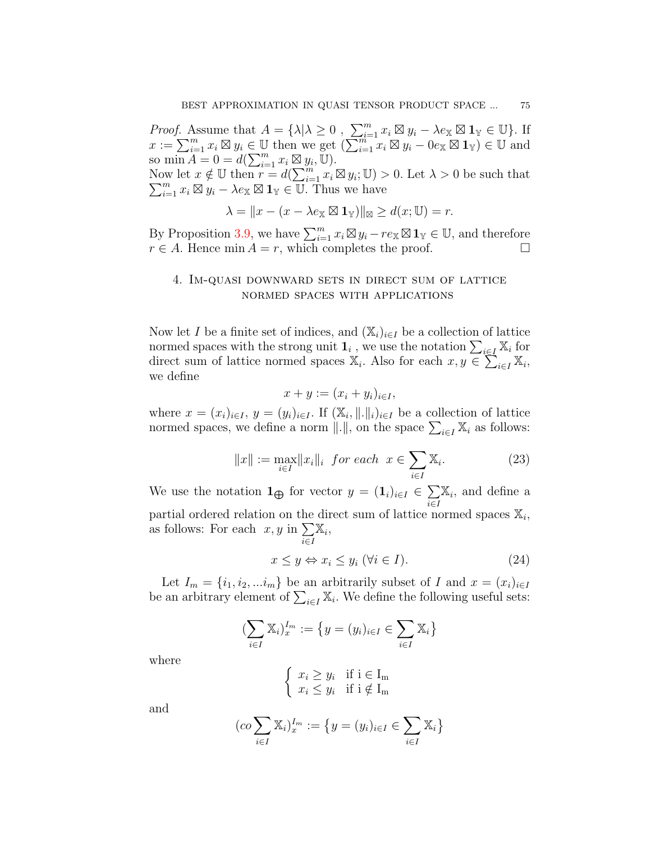*Proof.* Assume that  $A = {\lambda | \lambda \geq 0, \sum_{i=1}^{m} x_i \boxtimes y_i - \lambda e_{\mathbb{X}} \boxtimes \mathbf{1}_{\mathbb{Y}} \in \mathbb{U}}.$  If  $x := \sum_{i=1}^{m} x_i \boxtimes y_i \in \mathbb{U}$  then we get  $(\sum_{i=1}^{m} x_i \boxtimes y_i - 0 e_{\mathbb{X}} \boxtimes \mathbf{1}_{\mathbb{Y}}) \in \mathbb{U}$  and so  $\min A = 0 = d(\sum_{i=1}^{m} x_i \boxtimes y_i, \mathbb{U}).$ Now let  $x \notin \mathbb{U}$  then  $r = d(\sum_{i=1}^{m} x_i \boxtimes y_i)$ ∑  $\lim_{i=1}^m x_i \not\in \mathbb{U}$  then  $r = d(\sum_{i=1}^m x_i \boxtimes y_i; \mathbb{U}) > 0$ . Let  $\lambda > 0$  be such that  $\lim_{i=1}^m x_i \boxtimes y_i - \lambda e_{\mathbb{X}} \boxtimes \mathbf{1}_{\mathbb{Y}} \in \mathbb{U}$ . Thus we have  $\lambda = ||x - (x - \lambda e_{\mathbb{X}} \boxtimes \mathbf{1}_{\mathbb{Y}})||_{\mathbb{X}} \geq d(x; \mathbb{U}) = r.$ 

By Proposition [3.9,](#page-7-2) we have  $\sum_{i=1}^{m} x_i \boxtimes y_i - r e_{\mathbb{X}} \boxtimes \mathbf{1}_{\mathbb{Y}} \in \mathbb{U}$ , and therefore  $r \in A$ . Hence min  $A = r$ , which completes the proof. □

## 4. Im-quasi downward sets in direct sum of lattice normed spaces with applications

Now let *I* be a finite set of indices, and  $(\mathbb{X}_i)_{i \in I}$  be a collection of lattice normed spaces with the strong unit  $\mathbf{1}_i$ , we use the notation  $\sum_{i \in I} \mathbb{X}_i$  for direct sum of lattice normed spaces  $\mathbb{X}_i$ . Also for each  $x, y \in \sum_{i \in I} \mathbb{X}_i$ , we define

$$
x + y := (x_i + y_i)_{i \in I},
$$

where  $x = (x_i)_{i \in I}$ ,  $y = (y_i)_{i \in I}$ . If  $(\mathbb{X}_i, \|\cdot\|_i)_{i \in I}$  be a collection of lattice normed spaces, we define a norm  $||.||$ , on the space  $\sum_{i \in I} \mathbb{X}_i$  as follows:

<span id="page-8-0"></span>
$$
||x|| := \max_{i \in I} ||x_i||_i \quad \text{for each} \quad x \in \sum_{i \in I} \mathbb{X}_i. \tag{23}
$$

We use the notation  $\mathbf{1}_{\bigoplus}$  for vector  $y = (\mathbf{1}_i)_{i \in I} \in \sum_i$ *i∈I* X*i ,* and define a partial ordered relation on the direct sum of lattice normed spaces  $\mathbb{X}_i$ , as follows: For each  $x, y$  in  $\sum$ *i∈I* X*i ,*

<span id="page-8-1"></span>
$$
x \le y \Leftrightarrow x_i \le y_i \ (\forall i \in I). \tag{24}
$$

Let  $I_m = \{i_1, i_2, \ldots, i_m\}$  be an arbitrarily subset of *I* and  $x = (x_i)_{i \in I}$ be an arbitrary element of  $\sum_{i \in I} \mathbb{X}_i$ . We define the following useful sets:

$$
(\sum_{i\in I}\mathbb{X}_i)_{x}^{I_m}:=\left\{y=(y_i)_{i\in I}\in\sum_{i\in I}\mathbb{X}_i\right\}
$$

where

$$
\begin{cases} x_i \ge y_i & \text{if } i \in I_m \\ x_i \le y_i & \text{if } i \notin I_m \end{cases}
$$

and

$$
(co \sum_{i \in I} \mathbb{X}_i)_{x}^{I_m} := \{ y = (y_i)_{i \in I} \in \sum_{i \in I} \mathbb{X}_i \}
$$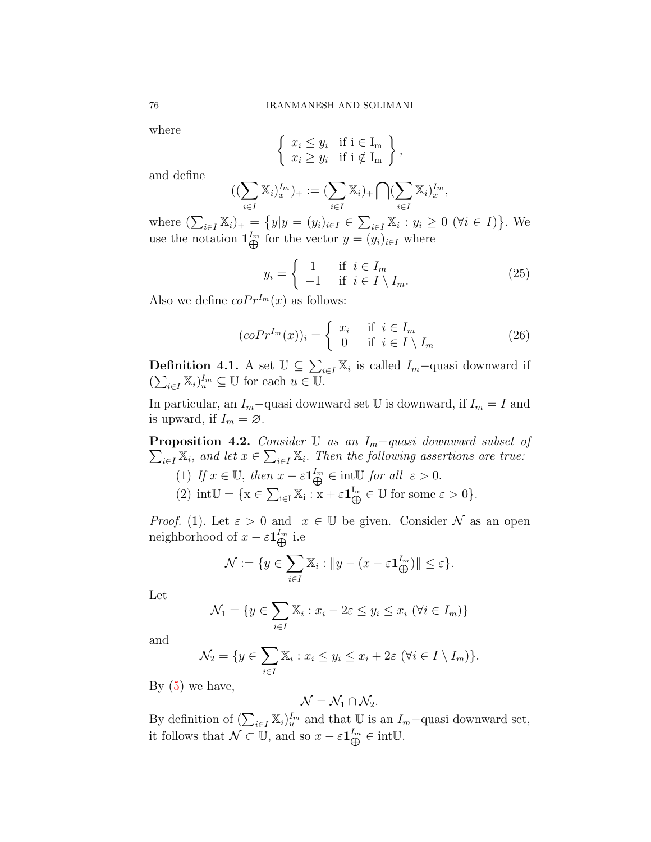where

$$
\left\{\n \begin{array}{ll}\n x_i \leq y_i & \text{if } i \in I_m \\
x_i \geq y_i & \text{if } i \notin I_m\n \end{array}\n \right\},
$$

and define

$$
((\sum_{i\in I} \mathbb{X}_i)^{I_m}_x)_+ := (\sum_{i\in I} \mathbb{X}_i)_+ \bigcap (\sum_{i\in I} \mathbb{X}_i)^{I_m}_x,
$$

where  $(\sum_{i \in I} \mathbb{X}_i)_+ = \{y | y = (y_i)_{i \in I} \in \sum_{i \in I} \mathbb{X}_i : y_i \ge 0 \ (\forall i \in I) \}.$  We use the notation  $\mathbf{1}_{\bigoplus}^{I_m}$  for the vector  $y = (y_i)_{i \in I}$  where

$$
y_i = \begin{cases} 1 & \text{if } i \in I_m \\ -1 & \text{if } i \in I \setminus I_m. \end{cases}
$$
 (25)

Also we define  $coPr^{I_m}(x)$  as follows:

<span id="page-9-0"></span>
$$
(coPr^{I_m}(x))_i = \begin{cases} x_i & \text{if } i \in I_m \\ 0 & \text{if } i \in I \setminus I_m \end{cases}
$$
 (26)

**Definition 4.1.** A set  $\mathbb{U} \subseteq \sum_{i \in I} \mathbb{X}_i$  is called  $I_m$ -quasi downward if  $(\sum_{i \in I} \mathbb{X}_i)_{u}^{I_m} \subseteq \mathbb{U}$  for each  $u \in \mathbb{U}$ .

In particular, an  $I_m$ −quasi downward set  $\mathbb U$  is downward, if  $I_m = I$  and is upward, if  $I_m = \emptyset$ .

 $\sum_{i \in I} \mathbb{X}_i$ , and let  $x \in \sum_{i \in I} \mathbb{X}_i$ . Then the following assertions are true: **Proposition 4.2.** *Consider* U *as an Im−quasi downward subset of*

(1) If  $x \in \mathbb{U}$ , then  $x - \varepsilon \mathbf{1}_{\bigoplus}^{I_m} \in \text{int}\mathbb{U}$  for all  $\varepsilon > 0$ . (2)  $int\mathbb{U} = \{x \in \sum_{i \in I} \mathbb{X}_i : x + \varepsilon \mathbf{1}_{\bigoplus}^{I_m} \in \mathbb{U} \text{ for some } \varepsilon > 0\}.$ 

*Proof.* (1). Let  $\varepsilon > 0$  and  $x \in \mathbb{U}$  be given. Consider  $\mathcal N$  as an open neighborhood of  $x - \varepsilon \mathbf{1}_{\bigoplus}^{I_m}$  i.e

$$
\mathcal{N} := \{ y \in \sum_{i \in I} \mathbb{X}_i : \|y - (x - \varepsilon \mathbf{1}_{\bigoplus}^{I_m}) \| \le \varepsilon \}.
$$

Let

$$
\mathcal{N}_1 = \{ y \in \sum_{i \in I} \mathbb{X}_i : x_i - 2\varepsilon \le y_i \le x_i \ (\forall i \in I_m) \}
$$

and

$$
\mathcal{N}_2 = \{ y \in \sum_{i \in I} \mathbb{X}_i : x_i \le y_i \le x_i + 2\varepsilon \ (\forall i \in I \setminus I_m) \}.
$$

By  $(5)$  we have,

$$
\mathcal{N}=\mathcal{N}_1\cap \mathcal{N}_2.
$$

By definition of  $(\sum_{i \in I} \mathbb{X}_i)^{I_m}_u$  and that  $\mathbb{U}$  is an  $I_m$ –quasi downward set, it follows that  $\mathcal{N} \subset \mathbb{U}$ , and so  $x - \varepsilon \mathbf{1}_{\bigoplus}^{I_m} \in \text{int}\mathbb{U}$ .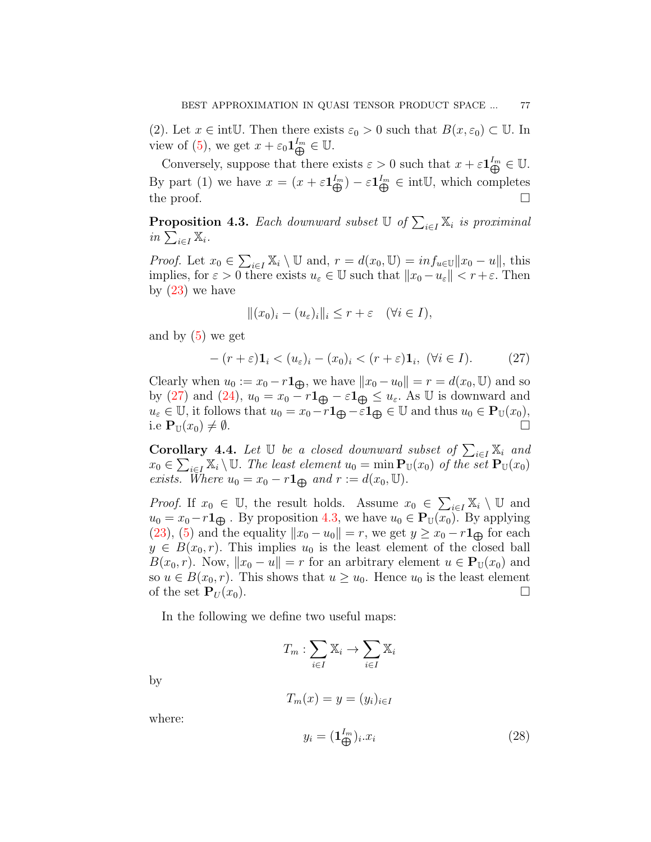(2). Let  $x \in \text{intU}$ . Then there exists  $\varepsilon_0 > 0$  such that  $B(x, \varepsilon_0) \subset U$ . In view of [\(5\)](#page-2-1), we get  $x + \varepsilon_0 \mathbf{1}_{\bigoplus}^{I_m} \in \mathbb{U}$ .

Conversely, suppose that there exists  $\varepsilon > 0$  such that  $x + \varepsilon \mathbf{1}_{\bigoplus}^{I_m} \in \mathbb{U}$ . By part (1) we have  $x = (x + \varepsilon \mathbf{1}_{\bigoplus}^{I_m}) - \varepsilon \mathbf{1}_{\bigoplus}^{I_m} \in \text{intU}$ , which completes the proof.  $\Box$ 

<span id="page-10-1"></span>**Proposition 4.3.** *Each downward subset*  $\mathbb{U}$  *of*  $\sum_{i \in I} \mathbb{X}_i$  *is proximinal*  $in \sum_{i \in I} \mathbb{X}_i$ .

*Proof.* Let  $x_0 \in \sum_{i \in I} \mathbb{X}_i \setminus \mathbb{U}$  and,  $r = d(x_0, \mathbb{U}) = inf_{u \in \mathbb{U}} ||x_0 - u||$ , this implies, for  $\varepsilon > 0$  there exists  $u_{\varepsilon} \in \mathbb{U}$  such that  $||x_0 - u_{\varepsilon}|| < r + \varepsilon$ . Then by  $(23)$  we have

$$
||(x_0)_i - (u_\varepsilon)_i||_i \le r + \varepsilon \quad (\forall i \in I),
$$

and by ([5\)](#page-2-1) we get

<span id="page-10-0"></span>
$$
-(r+\varepsilon)\mathbf{1}_i < (u_\varepsilon)_i - (x_0)_i < (r+\varepsilon)\mathbf{1}_i, \ (\forall i \in I). \tag{27}
$$

Clearly when  $u_0 := x_0 - r \mathbf{1}_{\bigoplus}$ , we have  $||x_0 - u_0|| = r = d(x_0, \mathbb{U})$  and so by [\(27\)](#page-10-0) and [\(24\)](#page-8-1),  $u_0 = x_0 - r \mathbf{1}_{\bigoplus} - \varepsilon \mathbf{1}_{\bigoplus} \le u_{\varepsilon}$ . As U is downward and  $u_{\varepsilon} \in \mathbb{U}$ , it follows that  $u_0 = x_0 - r \mathbf{1}_{\bigoplus} - \varepsilon \mathbf{1}_{\bigoplus} \in \mathbb{U}$  and thus  $u_0 \in \mathbf{P}_{\mathbb{U}}(x_0)$ *,* i.e  $\mathbf{P}_{\mathbb{U}}(x_0) \neq \emptyset$ .

<span id="page-10-3"></span>**Corollary 4.4.** *Let*  $\mathbb{U}$  *be a closed downward subset of*  $\sum_{i \in I} \mathbb{X}_i$  *and*  $x_0 \in \sum_{i \in I} X_i \setminus \mathbb{U}$ . The least element  $u_0 = \min_{\mathbf{x}} \mathbf{P}_{\mathbb{U}}(x_0)$  of the set  $\mathbf{P}_{\mathbb{U}}(x_0)$ *exists. Where*  $u_0 = x_0 - r \mathbf{1}_{\bigoplus}$  *and*  $r := d(x_0, \mathbb{U})$ .

*Proof.* If  $x_0 \in \mathbb{U}$ , the result holds. Assume  $x_0 \in \sum_{i \in I} \mathbb{X}_i \setminus \mathbb{U}$  and  $u_0 = x_0 - r \mathbf{1}_{\bigoplus}$ . By proposition [4.3,](#page-10-1) we have  $u_0 \in \mathbf{P}_{\mathbb{U}}(x_0)$ . By applying ([23](#page-8-0)), ([5](#page-2-1)) and the equality  $||x_0 - u_0|| = r$ , we get  $y \ge x_0 - r \mathbf{1}_{\bigoplus}$  for each  $y \in B(x_0, r)$ . This implies  $u_0$  is the least element of the closed ball *B*(*x*<sub>0</sub>, *r*). Now,  $||x_0 - u|| = r$  for an arbitrary element  $u \in \mathbf{P}_U(x_0)$  and so  $u \in B(x_0, r)$ . This shows that  $u \geq u_0$ . Hence  $u_0$  is the least element of the set  $\mathbf{P}_U(x_0)$ .

In the following we define two useful maps:

$$
T_m: \sum_{i \in I} \mathbb{X}_i \to \sum_{i \in I} \mathbb{X}_i
$$

by

$$
T_m(x) = y = (y_i)_{i \in I}
$$

where:

<span id="page-10-2"></span>
$$
y_i = (\mathbf{1}_{\bigoplus}^{I_m})_i.x_i \tag{28}
$$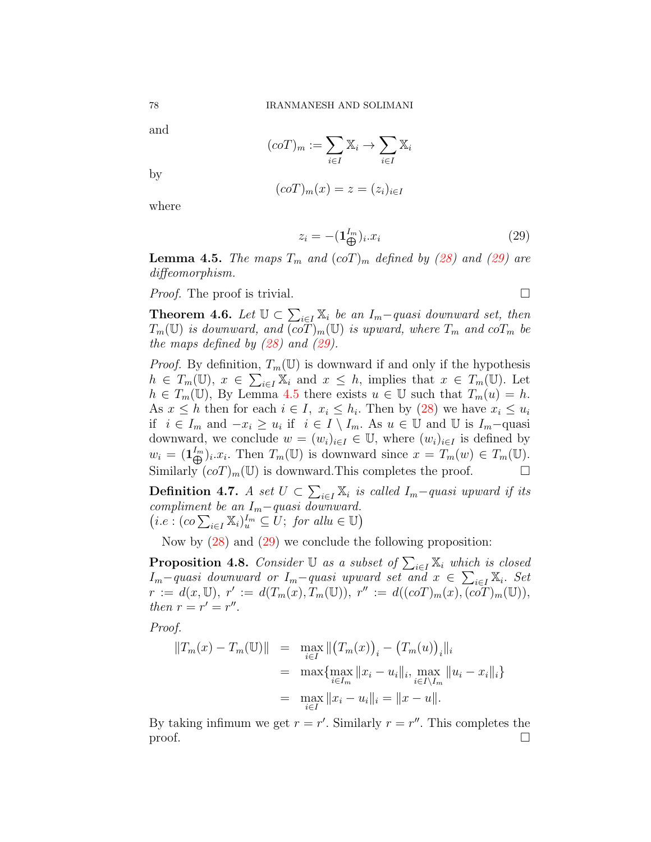and

$$
(coT)_m := \sum_{i \in I} \mathbb{X}_i \to \sum_{i \in I} \mathbb{X}_i
$$

by

$$
(coT)m(x) = z = (zi)i \in I
$$

where

<span id="page-11-0"></span>
$$
z_i = -(\mathbf{1}_{\bigoplus}^{I_m})_i.x_i \tag{29}
$$

<span id="page-11-1"></span>**Lemma 4.5.** *The maps*  $T_m$  *and*  $(c \circ T)_m$  *defined by ([28\)](#page-10-2) and ([29\)](#page-11-0) are diffeomorphism.*

*Proof.* The proof is trivial.  $\Box$ 

<span id="page-11-2"></span>**Theorem 4.6.** *Let*  $\mathbb{U} \subset \sum_{i \in I} \mathbb{X}_i$  *be an*  $I_m$ *-quasi downward set, then*  $T_m(\mathbb{U})$  *is downward, and*  $\overline{(coT)}_m(\mathbb{U})$  *is upward, where*  $T_m$  *and*  $coT_m$  *be the maps defined by ([28\)](#page-10-2) and [\(29\)](#page-11-0).*

*Proof.* By definition,  $T_m(\mathbb{U})$  is downward if and only if the hypothesis  $h \in T_m(\mathbb{U}), x \in \sum_{i \in I} \mathbb{X}_i$  and  $x \leq h$ , implies that  $x \in T_m(\mathbb{U})$ . Let  $h \in T_m(\mathbb{U})$ , By Lemma [4.5](#page-11-1) there exists  $u \in \mathbb{U}$  such that  $T_m(u) = h$ . As  $x \leq h$  then for each  $i \in I$ ,  $x_i \leq h_i$ . Then by [\(28](#page-10-2)) we have  $x_i \leq u_i$ if  $i \in I_m$  and  $-x_i \ge u_i$  if  $i \in I \setminus I_m$ . As  $u \in \mathbb{U}$  and  $\mathbb{U}$  is  $I_m$ −quasi downward, we conclude  $w = (w_i)_{i \in I} \in \mathbb{U}$ , where  $(w_i)_{i \in I}$  is defined by  $w_i = (\mathbf{1}_{\bigoplus}^{I_m})_i.x_i$ . Then  $T_m(\mathbb{U})$  is downward since  $x = T_m(w) \in T_m(\mathbb{U})$ . Similarly  $(coT)_m(\mathbb{U})$  is downward. This completes the proof.  $\Box$ 

**Definition 4.7.** *A set*  $U \subset \sum_{i \in I} \mathbb{X}_i$  *is called*  $I_m$ −*quasi upward if its compliment be an Im−quasi downward.*  $(i.e., (co \sum_{i \in I} \mathbb{X}_i)_{u}^{In} \subseteq U; for all u \in \mathbb{U})$ 

Now by ([28](#page-10-2)) and [\(29\)](#page-11-0) we conclude the following proposition:

<span id="page-11-3"></span>**Proposition 4.8.** *Consider*  $\mathbb{U}$  *as a subset of*  $\sum_{i \in I} \mathbb{X}_i$  *which is closed*  $I_m$ *−quasi downward or*  $I_m$ *−quasi upward set and*  $x \in \sum_{i \in I} X_i$ . Set  $r := d(x, \mathbb{U}), r' := d(T_m(x), T_m(\mathbb{U})), r'' := d((coT)_m(x), (coT)_m(\mathbb{U})),$ *then*  $r = r' = r''$ .

*Proof.*

$$
||T_m(x) - T_m(\mathbb{U})|| = \max_{i \in I} ||(T_m(x))_i - (T_m(u))_i||_i
$$
  
= 
$$
\max \{ \max_{i \in I_m} ||x_i - u_i||_i, \max_{i \in I \setminus I_m} ||u_i - x_i||_i \}
$$
  
= 
$$
\max_{i \in I} ||x_i - u_i||_i = ||x - u||.
$$

By taking infimum we get  $r = r'$ . Similarly  $r = r''$ . This completes the proof.  $\Box$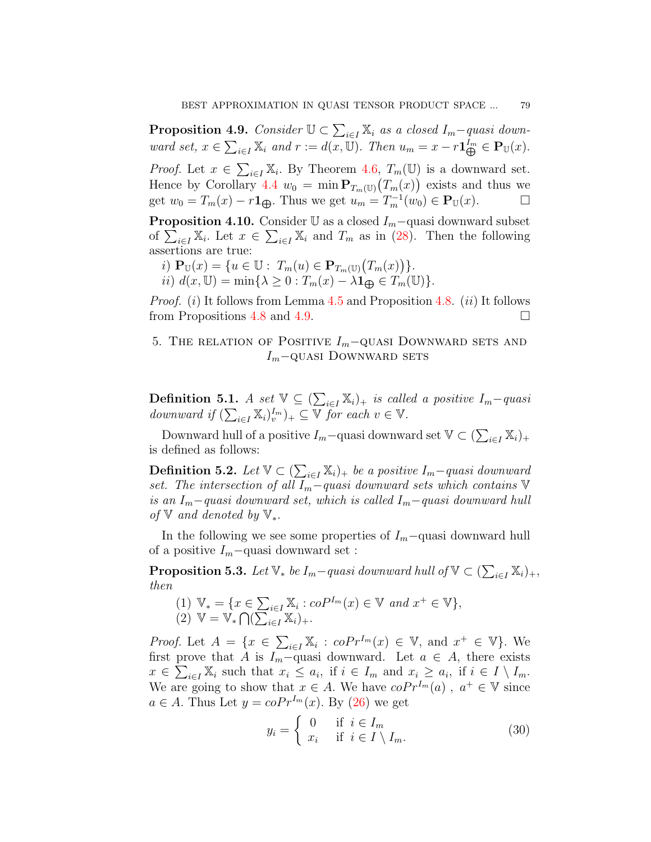<span id="page-12-0"></span>**Proposition 4.9.** *Consider*  $\mathbb{U} \subset \sum_{i \in I} \mathbb{X}_i$  *as a closed*  $I_m$ *-quasi down*ward set,  $x \in \sum_{i \in I} \mathbb{X}_i$  and  $r := d(x, \mathbb{U})$ . Then  $u_m = x - r \mathbf{1}_{\bigoplus}^{I_m} \in \mathbf{P}_{\mathbb{U}}(x)$ .

*Proof.* Let  $x \in \sum_{i \in I} X_i$ . By Theorem [4.6](#page-11-2),  $T_m(\mathbb{U})$  is a downward set. Hence by Corollary [4.4](#page-10-3)  $w_0 = \min \mathbf{P}_{T_m(\mathbb{U})}(T_m(x))$  exists and thus we get  $w_0 = T_m(x) - r \mathbf{1}_{\bigoplus}$ . Thus we get  $u_m = T_m^{-1}(w_0) \in \mathbf{P}_{\mathbb{U}}(x)$ .  $\Box$ 

**Proposition 4.10.** Consider  $\mathbb{U}$  as a closed  $I_m$ −quasi downward subset of  $\sum_{i\in I} X_i$ . Let  $x \in \sum_{i\in I} X_i$  and  $T_m$  as in ([28](#page-10-2)). Then the following assertions are true:

- *i*)  $\mathbf{P}_{\mathbb{U}}(x) = \{u \in \mathbb{U} : T_m(u) \in \mathbf{P}_{T_m(\mathbb{U})}(T_m(x))\}.$
- $i$ *i*)  $d(x, \mathbb{U}) = \min\{\lambda \geq 0 : T_m(x) \lambda \mathbf{1}_{\bigoplus} \in T_m(\mathbb{U})\}.$

*Proof.* (*i*) It follows from Lemma [4.5](#page-11-1) and Proposition [4.8.](#page-11-3) (*ii*) It follows from Propositions [4.8](#page-11-3) and [4.9](#page-12-0).  $\Box$ 

# 5. The relation of Positive *Im−*quasi Downward sets and *I*<sup>*m*</sup>−QUASI DOWNWARD SETS

**Definition 5.1.** *A set*  $\mathbb{V} \subseteq (\sum_{i \in I} \mathbb{X}_i)_+$  *is called a positive*  $I_m$ *-quasi downward if*  $(\sum_{i \in I} \mathbb{X}_i)_{v}^{I_m}$   $)_{+} \subseteq \mathbb{V}$  *for each*  $v \in \mathbb{V}$ *.* 

Downward hull of a positive  $I_m$ −quasi downward set  $\mathbb{V} \subset (\sum_{i \in I} \mathbb{X}_i)_+$ is defined as follows:

**Definition 5.2.** *Let*  $\mathbb{V} \subset (\sum_{i \in I} \mathbb{X}_i)_+$  *be a positive*  $I_m$ −*quasi downward set. The intersection of all Im−quasi downward sets which contains* V *is an Im−quasi downward set, which is called Im−quasi downward hull of* V *and denoted by* V*∗.*

In the following we see some properties of *Im−*quasi downward hull of a positive *Im−*quasi downward set :

**Proposition 5.3.** *Let*  $\mathbb{V}_*$  *be*  $I_m$ *−quasi downward hull of*  $\mathbb{V} \subset (\sum_{i \in I} \mathbb{X}_i)_+,$ *then*

 $(1)$   $\mathbb{V}_* = \{ x \in \sum_{i \in I} \mathbb{X}_i : coP^{I_m}(x) \in \mathbb{V} \text{ and } x^+ \in \mathbb{V} \},$  $(2) \mathbb{V} = \mathbb{V}_* \bigcap (\sum_{i \in I} \mathbb{X}_i)_+.$ 

*Proof.* Let  $A = \{x \in \sum_{i \in I} X_i : cofr^{I_m}(x) \in V, \text{ and } x^+ \in V\}$ . We first prove that *A* is  $I_m$ −quasi downward. Let  $a \in A$ , there exists  $x \in \sum_{i \in I} \mathbb{X}_i$  such that  $x_i \leq a_i$ , if  $i \in I_m$  and  $x_i \geq a_i$ , if  $i \in I \setminus I_m$ . We are going to show that  $x \in A$ . We have  $coPr^{I_m}(a)$ ,  $a^+ \in V$  since  $a \in A$ . Thus Let  $y = coPr^{I_m}(x)$ . By ([26\)](#page-9-0) we get

$$
y_i = \begin{cases} 0 & \text{if } i \in I_m \\ x_i & \text{if } i \in I \setminus I_m. \end{cases}
$$
 (30)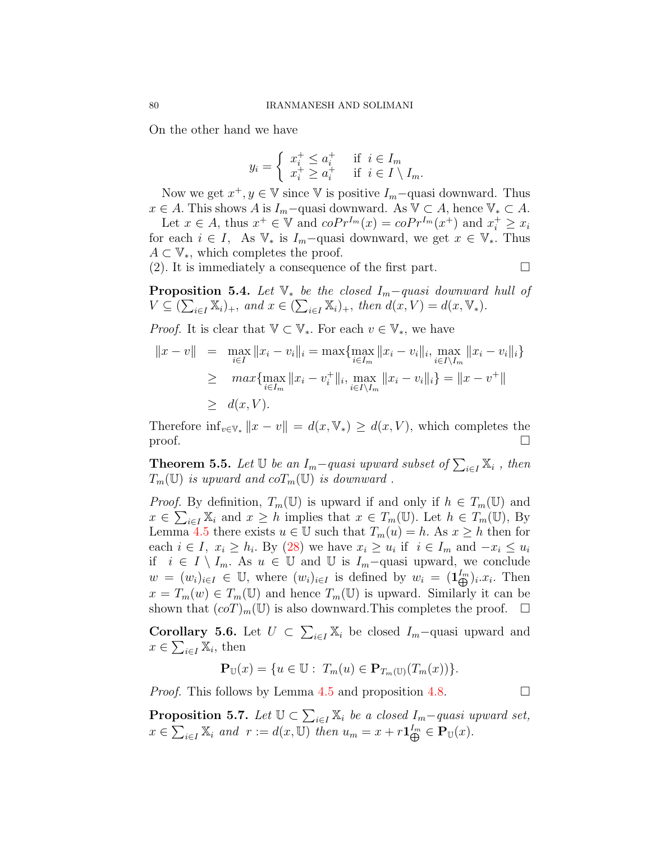On the other hand we have

$$
y_i = \begin{cases} x_i^+ \le a_i^+ & \text{if } i \in I_m \\ x_i^+ \ge a_i^+ & \text{if } i \in I \setminus I_m. \end{cases}
$$

Now we get  $x^+, y \in \mathbb{V}$  since  $\mathbb{V}$  is positive  $I_m$ –quasi downward. Thus  $x \in A$ . This shows *A* is  $I_m$ −quasi downward. As  $\mathbb{V} \subset A$ , hence  $\mathbb{V}_* \subset A$ .

Let  $x \in A$ , thus  $x^+ \in \mathbb{V}$  and  $coPr^{I_m}(x) = coPr^{I_m}(x^+)$  and  $x_i^+ \ge x_i$ for each  $i \in I$ , As  $\mathbb{V}_*$  is  $I_m$ –quasi downward, we get  $x \in \mathbb{V}_*$ . Thus *A ⊂* V*∗,* which completes the proof.

(2). It is immediately a consequence of the first part.  $\Box$ 

**Proposition 5.4.** *Let* V*<sup>∗</sup> be the closed Im−quasi downward hull of*  $V \subseteq (\sum_{i \in I} \mathbb{X}_i)_+,$  and  $x \in (\sum_{i \in I} \mathbb{X}_i)_+,$  then  $d(x, V) = d(x, \mathbb{V}_*).$ 

*Proof.* It is clear that  $\mathbb{V} \subset \mathbb{V}_*$ . For each  $v \in \mathbb{V}_*$ , we have

$$
||x - v|| = \max_{i \in I} ||x_i - v_i||_i = \max \{ \max_{i \in I_m} ||x_i - v_i||_i, \max_{i \in I \setminus I_m} ||x_i - v_i||_i \}
$$
  
\n
$$
\geq \max \{ \max_{i \in I_m} ||x_i - v_i^+||_i, \max_{i \in I \setminus I_m} ||x_i - v_i||_i \} = ||x - v^+||
$$
  
\n
$$
\geq d(x, V).
$$

Therefore  $\inf_{v \in \mathbb{V}_*} ||x - v|| = d(x, \mathbb{V}_*) \ge d(x, V)$ , which completes the proof. proof.  $\Box$ 

<span id="page-13-0"></span>**Theorem 5.5.** *Let*  $\mathbb{U}$  *be an*  $I_m$ *-quasi upward subset of*  $\sum_{i \in I} \mathbb{X}_i$ , *then*  $T_m(\mathbb{U})$  *is upward and co* $T_m(\mathbb{U})$  *is downward.* 

*Proof.* By definition,  $T_m(\mathbb{U})$  is upward if and only if  $h \in T_m(\mathbb{U})$  and  $x \in \sum_{i \in I} \mathbb{X}_i$  and  $x \geq h$  implies that  $x \in T_m(\mathbb{U})$ . Let  $h \in T_m(\mathbb{U})$ , By Lemma [4.5](#page-11-1) there exists  $u \in \mathbb{U}$  such that  $T_m(u) = h$ . As  $x \geq h$  then for each  $i \in I$ ,  $x_i \geq h_i$ . By [\(28\)](#page-10-2) we have  $x_i \geq u_i$  if  $i \in I_m$  and  $-x_i \leq u_i$ if *i* ∈ *I*  $\setminus$  *I<sub>m</sub>*. As *u* ∈ U and U is *I<sub>m</sub>−*quasi upward, we conclude  $w = (w_i)_{i \in I} \in \mathbb{U}$ , where  $(w_i)_{i \in I}$  is defined by  $w_i = (1 \cdot \mathbb{I}_{\bigoplus}^{I_m})_i \cdot x_i$ . Then  $x = T_m(w) \in T_m(\mathbb{U})$  and hence  $T_m(\mathbb{U})$  is upward. Similarly it can be shown that  $(coT)_m(\mathbb{U})$  is also downward. This completes the proof.  $\Box$ 

<span id="page-13-1"></span>**Corollary 5.6.** Let  $U \subset \sum_{i \in I} \mathbb{X}_i$  be closed  $I_m$ -quasi upward and  $x \in \sum_{i \in I} \mathbb{X}_i$ , then

$$
\mathbf{P}_{\mathbb{U}}(x) = \{ u \in \mathbb{U} : T_m(u) \in \mathbf{P}_{T_m(\mathbb{U})}(T_m(x)) \}.
$$

*Proof.* This follows by Lemma [4.5](#page-11-1) and proposition [4.8](#page-11-3).  $\Box$ 

**Proposition 5.7.** *Let*  $\mathbb{U} \subset \sum_{i \in I} \mathbb{X}_i$  *be a closed*  $I_m$ *-quasi upward set,*  $x \in \sum_{i \in I} \mathbb{X}_i$  and  $r := d(x, \mathbb{U})$  then  $u_m = x + r \mathbf{1}_{\bigoplus}^{I_m} \in \mathbf{P}_{\mathbb{U}}(x)$ .